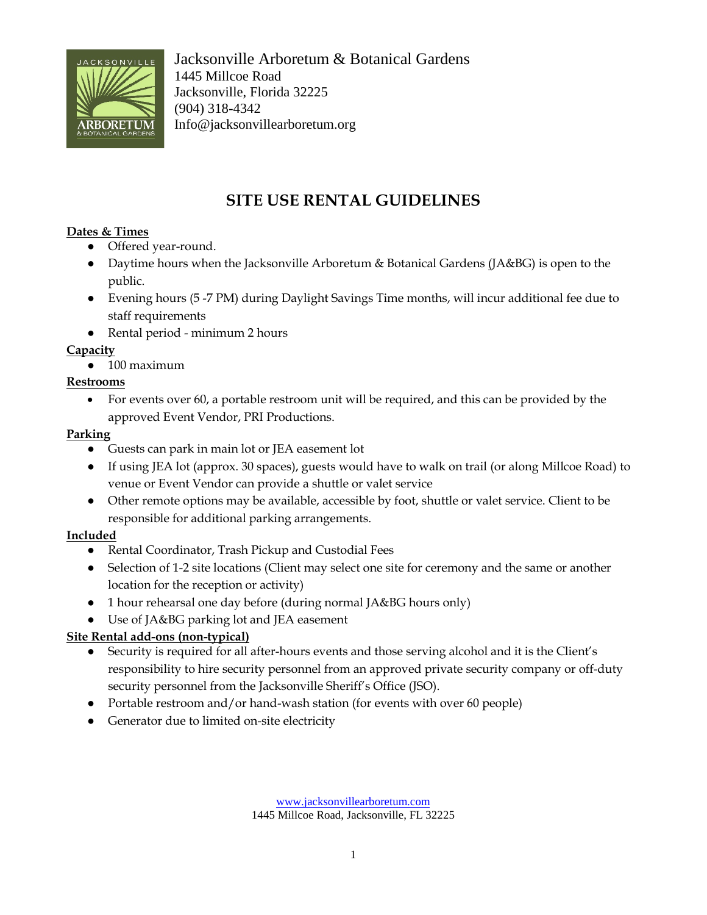

Jacksonville Arboretum & Botanical Gardens 1445 Millcoe Road Jacksonville, Florida 32225 (904) 318-4342 Info@jacksonvillearboretum.org

# **SITE USE RENTAL GUIDELINES**

#### **Dates & Times**

- Offered year-round.
- Daytime hours when the Jacksonville Arboretum & Botanical Gardens (JA&BG) is open to the public.
- Evening hours (5 -7 PM) during Daylight Savings Time months, will incur additional fee due to staff requirements
- Rental period minimum 2 hours

## **Capacity**

● 100 maximum

#### **Restrooms**

• For events over 60, a portable restroom unit will be required, and this can be provided by the approved Event Vendor, PRI Productions.

## **Parking**

- Guests can park in main lot or JEA easement lot
- If using JEA lot (approx. 30 spaces), guests would have to walk on trail (or along Millcoe Road) to venue or Event Vendor can provide a shuttle or valet service
- Other remote options may be available, accessible by foot, shuttle or valet service. Client to be responsible for additional parking arrangements.

## **Included**

- Rental Coordinator, Trash Pickup and Custodial Fees
- Selection of 1-2 site locations (Client may select one site for ceremony and the same or another location for the reception or activity)
- 1 hour rehearsal one day before (during normal JA&BG hours only)
- Use of JA&BG parking lot and JEA easement

## **Site Rental add-ons (non-typical)**

- Security is required for all after-hours events and those serving alcohol and it is the Client's responsibility to hire security personnel from an approved private security company or off-duty security personnel from the Jacksonville Sheriff's Office (JSO).
- Portable restroom and/or hand-wash station (for events with over 60 people)
- Generator due to limited on-site electricity

[www.jacksonvillearboretum.com](http://www.jacksonvillearboretum.com/) 1445 Millcoe Road, Jacksonville, FL 32225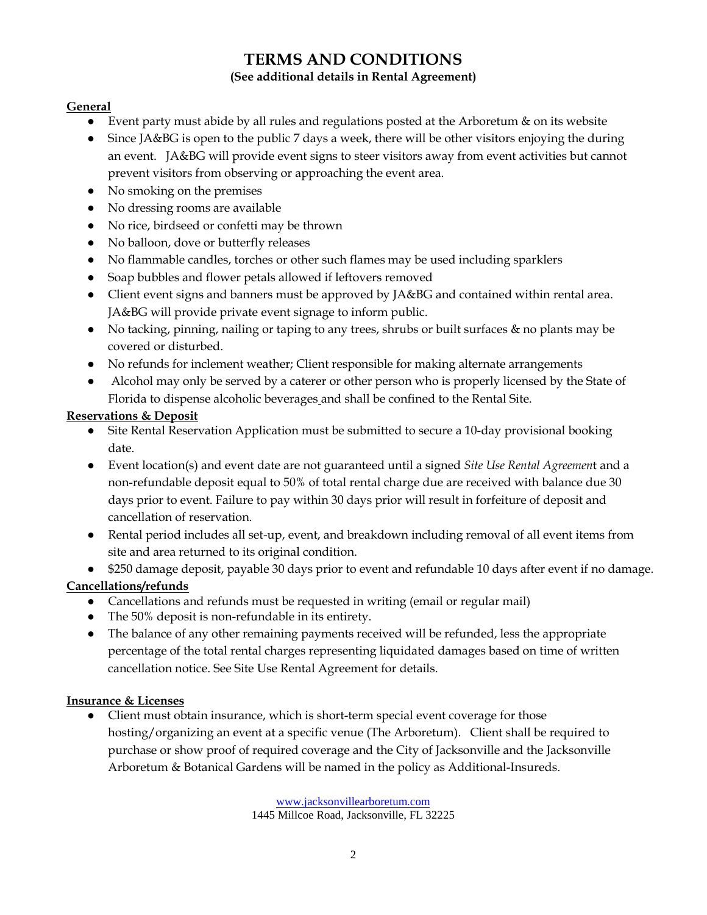## **TERMS AND CONDITIONS (See additional details in Rental Agreement)**

#### **General**

- Event party must abide by all rules and regulations posted at the Arboretum & on its website
- Since JA&BG is open to the public 7 days a week, there will be other visitors enjoying the during an event. JA&BG will provide event signs to steer visitors away from event activities but cannot prevent visitors from observing or approaching the event area.
- No smoking on the premises
- No dressing rooms are available
- No rice, birdseed or confetti may be thrown
- No balloon, dove or butterfly releases
- No flammable candles, torches or other such flames may be used including sparklers
- Soap bubbles and flower petals allowed if leftovers removed
- Client event signs and banners must be approved by JA&BG and contained within rental area. JA&BG will provide private event signage to inform public.
- No tacking, pinning, nailing or taping to any trees, shrubs or built surfaces & no plants may be covered or disturbed.
- No refunds for inclement weather; Client responsible for making alternate arrangements
- Alcohol may only be served by a caterer or other person who is properly licensed by the State of Florida to dispense alcoholic beverages and shall be confined to the Rental Site.

#### **Reservations & Deposit**

- Site Rental Reservation Application must be submitted to secure a 10-day provisional booking date.
- Event location(s) and event date are not guaranteed until a signed *Site Use Rental Agreemen*t and a non-refundable deposit equal to 50% of total rental charge due are received with balance due 30 days prior to event. Failure to pay within 30 days prior will result in forfeiture of deposit and cancellation of reservation.
- Rental period includes all set-up, event, and breakdown including removal of all event items from site and area returned to its original condition.
- \$250 damage deposit, payable 30 days prior to event and refundable 10 days after event if no damage.

#### **Cancellations/refunds**

- Cancellations and refunds must be requested in writing (email or regular mail)
- The 50% deposit is non-refundable in its entirety.
- The balance of any other remaining payments received will be refunded, less the appropriate percentage of the total rental charges representing liquidated damages based on time of written cancellation notice. See Site Use Rental Agreement for details.

#### **Insurance & Licenses**

● Client must obtain insurance, which is short-term special event coverage for those hosting/organizing an event at a specific venue (The Arboretum). Client shall be required to purchase or show proof of required coverage and the City of Jacksonville and the Jacksonville Arboretum & Botanical Gardens will be named in the policy as Additional-Insureds.

> [www.jacksonvillearboretum.com](http://www.jacksonvillearboretum.com/) 1445 Millcoe Road, Jacksonville, FL 32225